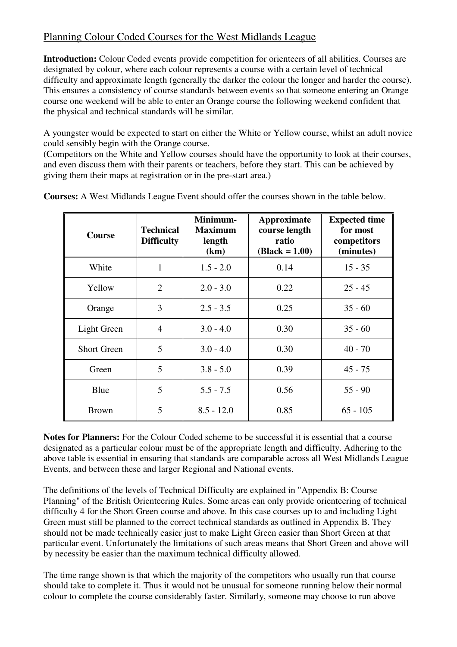## Planning Colour Coded Courses for the West Midlands League

**Introduction:** Colour Coded events provide competition for orienteers of all abilities. Courses are designated by colour, where each colour represents a course with a certain level of technical difficulty and approximate length (generally the darker the colour the longer and harder the course). This ensures a consistency of course standards between events so that someone entering an Orange course one weekend will be able to enter an Orange course the following weekend confident that the physical and technical standards will be similar.

A youngster would be expected to start on either the White or Yellow course, whilst an adult novice could sensibly begin with the Orange course.

(Competitors on the White and Yellow courses should have the opportunity to look at their courses, and even discuss them with their parents or teachers, before they start. This can be achieved by giving them their maps at registration or in the pre-start area.)

| <b>Course</b>      | <b>Technical</b><br><b>Difficulty</b> | Minimum-<br><b>Maximum</b><br>length<br>(km) | <b>Approximate</b><br>course length<br>ratio<br>$(Black = 1.00)$ | <b>Expected time</b><br>for most<br>competitors<br>(minutes) |
|--------------------|---------------------------------------|----------------------------------------------|------------------------------------------------------------------|--------------------------------------------------------------|
| White              | $\mathbf{1}$                          | $1.5 - 2.0$                                  | 0.14                                                             | $15 - 35$                                                    |
| Yellow             | 2                                     | $2.0 - 3.0$                                  | 0.22                                                             | $25 - 45$                                                    |
| Orange             | 3                                     | $2.5 - 3.5$                                  | 0.25                                                             | $35 - 60$                                                    |
| Light Green        | $\overline{4}$                        | $3.0 - 4.0$                                  | 0.30                                                             | $35 - 60$                                                    |
| <b>Short Green</b> | 5                                     | $3.0 - 4.0$                                  | 0.30                                                             | $40 - 70$                                                    |
| Green              | 5                                     | $3.8 - 5.0$                                  | 0.39                                                             | $45 - 75$                                                    |
| Blue               | 5                                     | $5.5 - 7.5$                                  | 0.56                                                             | $55 - 90$                                                    |
| <b>Brown</b>       | 5                                     | $8.5 - 12.0$                                 | 0.85                                                             | $65 - 105$                                                   |

**Courses:** A West Midlands League Event should offer the courses shown in the table below.

**Notes for Planners:** For the Colour Coded scheme to be successful it is essential that a course designated as a particular colour must be of the appropriate length and difficulty. Adhering to the above table is essential in ensuring that standards are comparable across all West Midlands League Events, and between these and larger Regional and National events.

The definitions of the levels of Technical Difficulty are explained in "Appendix B: Course Planning" of the British Orienteering Rules. Some areas can only provide orienteering of technical difficulty 4 for the Short Green course and above. In this case courses up to and including Light Green must still be planned to the correct technical standards as outlined in Appendix B. They should not be made technically easier just to make Light Green easier than Short Green at that particular event. Unfortunately the limitations of such areas means that Short Green and above will by necessity be easier than the maximum technical difficulty allowed.

The time range shown is that which the majority of the competitors who usually run that course should take to complete it. Thus it would not be unusual for someone running below their normal colour to complete the course considerably faster. Similarly, someone may choose to run above